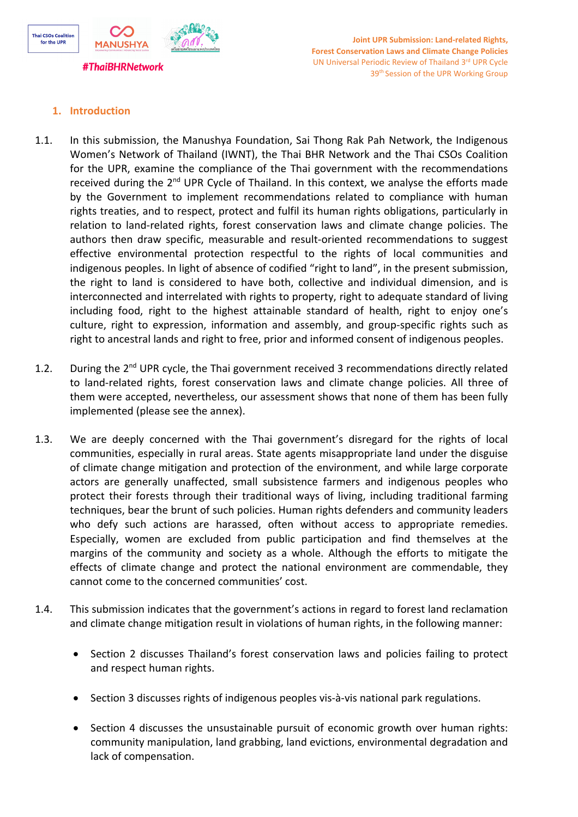

# **1. Introduction**

- 1.1. In this submission, the Manushya Foundation, Sai Thong Rak Pah Network, the Indigenous Women'<sup>s</sup> Network of Thailand (IWNT), the Thai BHR Network and the Thai CSOs Coalition for the UPR, examine the compliance of the Thai government with the recommendations received during the 2<sup>nd</sup> UPR Cycle of Thailand. In this context, we analyse the efforts made by the Government to implement recommendations related to compliance with human rights treaties, and to respect, protect and fulfil its human rights obligations, particularly in relation to land-related rights, forest conservation laws and climate change policies. The authors then draw specific, measurable and result-oriented recommendations to suggest effective environmental protection respectful to the rights of local communities and indigenous peoples. In light of absence of codified "right to land", in the present submission, the right to land is considered to have both, collective and individual dimension, and is interconnected and interrelated with rights to property, right to adequate standard of living including food, right to the highest attainable standard of health, right to enjoy one'<sup>s</sup> culture, right to expression, information and assembly, and group-specific rights such as right to ancestral lands and right to free, prior and informed consent of indigenous peoples.
- 1.2. During the 2<sup>nd</sup> UPR cycle, the Thai government received 3 recommendations directly related to land-related rights, forest conservation laws and climate change policies. All three of them were accepted, nevertheless, our assessment shows that none of them has been fully implemented (please see the annex).
- 1.3. We are deeply concerned with the Thai government'<sup>s</sup> disregard for the rights of local communities, especially in rural areas. State agents misappropriate land under the disguise of climate change mitigation and protection of the environment, and while large corporate actors are generally unaffected, small subsistence farmers and indigenous peoples who protect their forests through their traditional ways of living, including traditional farming techniques, bear the brunt of such policies. Human rights defenders and community leaders who defy such actions are harassed, often without access to appropriate remedies. Especially, women are excluded from public participation and find themselves at the margins of the community and society as <sup>a</sup> whole. Although the efforts to mitigate the effects of climate change and protect the national environment are commendable, they cannot come to the concerned communities' cost.
- 1.4. This submission indicates that the government'<sup>s</sup> actions in regard to forest land reclamation and climate change mitigation result in violations of human rights, in the following manner:
	- $\bullet$  Section 2 discusses Thailand'<sup>s</sup> forest conservation laws and policies failing to protect and respect human rights.
	- 0 Section 3 discusses rights of indigenous peoples vis-à-vis national park regulations.
	- $\bullet$  Section 4 discusses the unsustainable pursuit of economic growth over human rights: community manipulation, land grabbing, land evictions, environmental degradation and lack of compensation.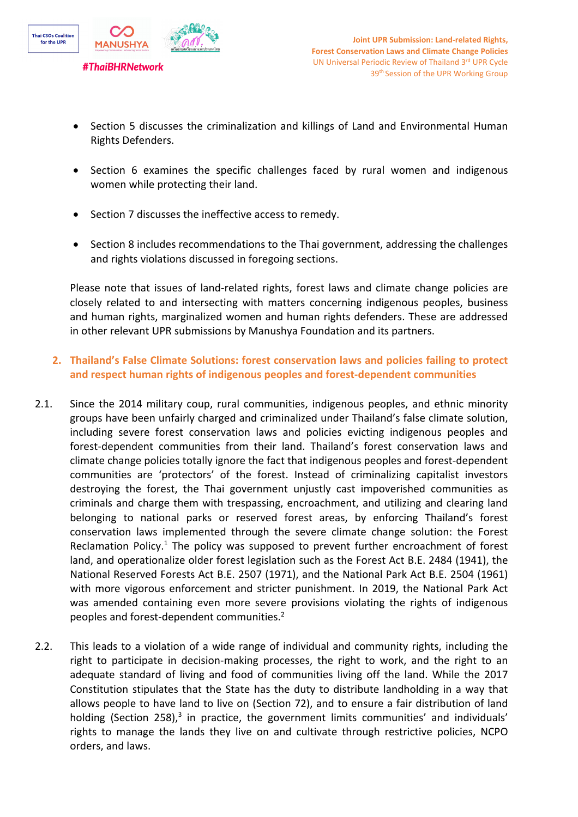

- $\bullet$  Section 5 discusses the criminalization and killings of Land and Environmental Human Rights Defenders.
- $\bullet$  Section 6 examines the specific challenges faced by rural women and indigenous women while protecting their land.
- 0 Section 7 discusses the ineffective access to remedy.
- $\bullet$  Section 8 includes recommendations to the Thai government, addressing the challenges and rights violations discussed in foregoing sections.

Please note that issues of land-related rights, forest laws and climate change policies are closely related to and intersecting with matters concerning indigenous peoples, business and human rights, marginalized women and human rights defenders. These are addressed in other relevant UPR submissions by Manushya Foundation and its partners.

- **2. Thailand'<sup>s</sup> False Climate Solutions: forest conservation laws and policies failing to protect and respect human rights of indigenous peoples and forest-dependent communities**
- 2.1. Since the 2014 military coup, rural communities, indigenous peoples, and ethnic minority groups have been unfairly charged and criminalized under Thailand'<sup>s</sup> false climate solution, including severe forest conservation laws and policies evicting indigenous peoples and forest-dependent communities from their land. Thailand'<sup>s</sup> forest conservation laws and climate change policies totally ignore the fact that indigenous peoples and forest-dependent communities are 'protectors' of the forest. Instead of criminalizing capitalist investors destroying the forest, the Thai government unjustly cast impoverished communities as criminals and charge them with trespassing, encroachment, and utilizing and clearing land belonging to national parks or reserved forest areas, by enforcing Thailand'<sup>s</sup> forest conservation laws implemented through the severe climate change solution: the Forest Reclamation Policy. $^1$  The policy was supposed to prevent further encroachment of forest land, and operationalize older forest legislation such as the Forest Act B.E. 2484 (1941), the National Reserved Forests Act B.E. 2507 (1971), and the National Park Act B.E. 2504 (1961) with more vigorous enforcement and stricter punishment. In 2019, the National Park Act was amended containing even more severe provisions violating the rights of indigenous peoples and forest-dependent communities.<sup>2</sup>
- 2.2. This leads to <sup>a</sup> violation of <sup>a</sup> wide range of individual and community rights, including the right to participate in decision-making processes, the right to work, and the right to an adequate standard of living and food of communities living off the land. While the 2017 Constitution stipulates that the State has the duty to distribute landholding in <sup>a</sup> way that allows people to have land to live on (Section 72), and to ensure <sup>a</sup> fair distribution of land holding (Section 258),<sup>3</sup> in practice, the government limits communities' and individuals' rights to manage the lands they live on and cultivate through restrictive policies, NCPO orders, and laws.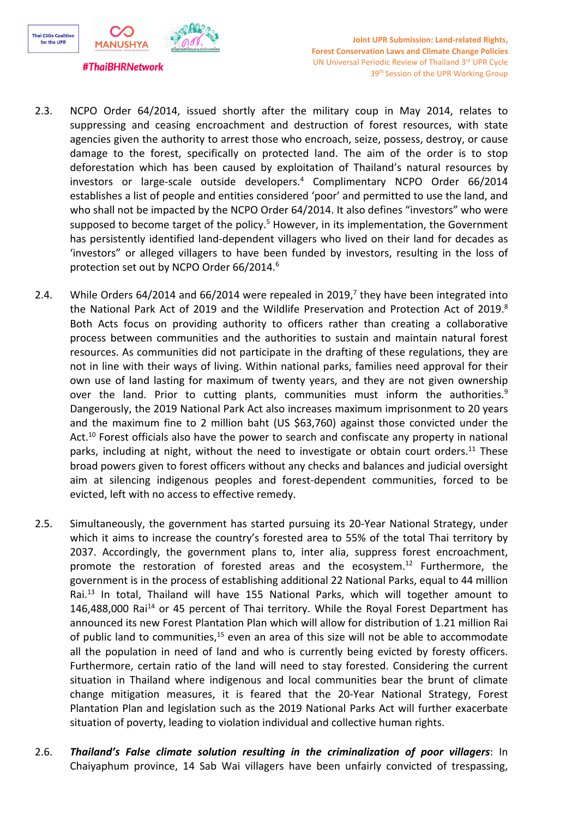

- 2.3. NCPO Order 64/2014, issued shortly after the military coup in May 2014, relates to suppressing and ceasing encroachment and destruction of forest resources, with state agencies given the authority to arrest those who encroach, seize, possess, destroy, or cause damage to the forest, specifically on protected land. The aim of the order is to stop deforestation which has been caused by exploitation of Thailand'<sup>s</sup> natural resources by investors or large-scale outside developers. 4 Complimentary NCPO Order 66/2014 establishes <sup>a</sup> list of people and entities considered 'poor' and permitted to use the land, and who shall not be impacted by the NCPO Order 64/2014. It also defines "investors" who were supposed to become target of the policy.<sup>5</sup> However, in its implementation, the Government has persistently identified land-dependent villagers who lived on their land for decades as 'investors" or alleged villagers to have been funded by investors, resulting in the loss of protection set out by NCPO Order 66/2014. $^{\rm 6}$
- 2.4. Mhile Orders 64/2014 and 66/2014 were repealed in 2019,<sup>7</sup> they have been integrated into the National Park Act of 2019 and the Wildlife Preservation and Protection Act of 2019.<sup>8</sup> Both Acts focus on providing authority to officers rather than creating <sup>a</sup> collaborative process between communities and the authorities to sustain and maintain natural forest resources. As communities did not participate in the drafting of these regulations, they are not in line with their ways of living. Within national parks, families need approval for their own use of land lasting for maximum of twenty years, and they are not given ownership over the land. Prior to cutting plants, communities must inform the authorities.<sup>9</sup> Dangerously, the 2019 National Park Act also increases maximum imprisonment to 20 years and the maximum fine to <sup>2</sup> million baht (US \$63,760) against those convicted under the Act.<sup>10</sup> Forest officials also have the power to search and confiscate any property in national parks, including at night, without the need to investigate or obtain court orders.<sup>11</sup> These broad powers given to forest officers without any checks and balances and judicial oversight aim at silencing indigenous peoples and forest-dependent communities, forced to be evicted, left with no access to effective remedy.
- 2.5. Simultaneously, the government has started pursuing its 20-Year National Strategy, under which it aims to increase the country'<sup>s</sup> forested area to 55% of the total Thai territory by 2037. Accordingly, the government plans to, inter alia, suppress forest encroachment, promote the restoration of forested areas and the ecosystem.<sup>12</sup> Furthermore, the government is in the process of establishing additional 22 National Parks, equal to 44 million Rai.<sup>13</sup> In total, Thailand will have 155 National Parks, which will together amount to 146,488,000 Rai<sup>14</sup> or 45 percent of Thai territory. While the Royal Forest Department has announced its new Forest Plantation Plan which will allow for distribution of 1.21 million Rai of public land to communities,<sup>15</sup> even an area of this size will not be able to accommodate all the population in need of land and who is currently being evicted by foresty officers. Furthermore, certain ratio of the land will need to stay forested. Considering the current situation in Thailand where indigenous and local communities bear the brunt of climate change mitigation measures, it is feared that the 20-Year National Strategy, Forest Plantation Plan and legislation such as the 2019 National Parks Act will further exacerbate situation of poverty, leading to violation individual and collective human rights.
- 2.6. *Thailand'<sup>s</sup> False climate solution resulting in the criminalization of poor villagers*: In Chaiyaphum province, 14 Sab Wai villagers have been unfairly convicted of trespassing,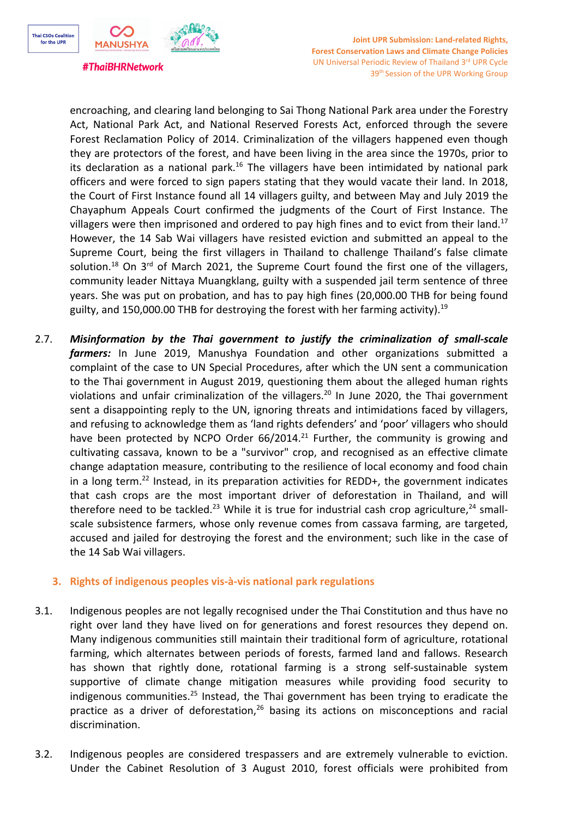

encroaching, and clearing land belonging to Sai Thong National Park area under the Forestry Act, National Park Act, and National Reserved Forests Act, enforced through the severe Forest Reclamation Policy of 2014. Criminalization of the villagers happened even though they are protectors of the forest, and have been living in the area since the 1970s, prior to its declaration as a national park.<sup>16</sup> The villagers have been intimidated by national park officers and were forced to sign papers stating that they would vacate their land. In 2018, the Court of First Instance found all 14 villagers guilty, and between May and July 2019 the Chayaphum Appeals Court confirmed the judgments of the Court of First Instance. The villagers were then imprisoned and ordered to pay high fines and to evict from their land.<sup>17</sup> However, the 14 Sab Wai villagers have resisted eviction and submitted an appeal to the Supreme Court, being the first villagers in Thailand to challenge Thailand'<sup>s</sup> false climate solution.<sup>18</sup> On 3<sup>rd</sup> of March 2021, the Supreme Court found the first one of the villagers, community leader Nittaya Muangklang, guilty with <sup>a</sup> suspended jail term sentence of three years. She was put on probation, and has to pay high fines (20,000.00 THB for being found guilty, and 150,000.00 THB for destroying the forest with her farming activity).<sup>19</sup>

2.7. *Misinformation by the Thai government to justify the criminalization of small-scale farmers:* In June 2019, Manushya Foundation and other organizations submitted <sup>a</sup> complaint of the case to UN Special Procedures, after which the UN sent <sup>a</sup> communication to the Thai government in August 2019, questioning them about the alleged human rights violations and unfair criminalization of the villagers.<sup>20</sup> In June 2020, the Thai government sent <sup>a</sup> disappointing reply to the UN, ignoring threats and intimidations faced by villagers, and refusing to acknowledge them as 'land rights defenders' and 'poor' villagers who should have been protected by NCPO Order 66/2014.<sup>21</sup> Further, the community is growing and cultivating cassava, known to be <sup>a</sup> "survivor" crop, and recognised as an effective climate change adaptation measure, contributing to the resilience of local economy and food chain in a long term.<sup>22</sup> Instead, in its preparation activities for REDD+, the government indicates that cash crops are the most important driver of deforestation in Thailand, and will therefore need to be tackled.<sup>23</sup> While it is true for industrial cash crop agriculture,<sup>24</sup> smallscale subsistence farmers, whose only revenue comes from cassava farming, are targeted, accused and jailed for destroying the forest and the environment; such like in the case of the 14 Sab Wai villagers.

## **3. Rights of indigenous peoples vis-à-vis national park regulations**

- 3.1. Indigenous peoples are not legally recognised under the Thai Constitution and thus have no right over land they have lived on for generations and forest resources they depend on. Many indigenous communities still maintain their traditional form of agriculture, rotational farming, which alternates between periods of forests, farmed land and fallows. Research has shown that rightly done, rotational farming is <sup>a</sup> strong self-sustainable system supportive of climate change mitigation measures while providing food security to indigenous communities.<sup>25</sup> Instead, the Thai government has been trying to eradicate the practice as a driver of deforestation,<sup>26</sup> basing its actions on misconceptions and racial discrimination.
- 3.2. Indigenous peoples are considered trespassers and are extremely vulnerable to eviction. Under the Cabinet Resolution of 3 August 2010, forest officials were prohibited from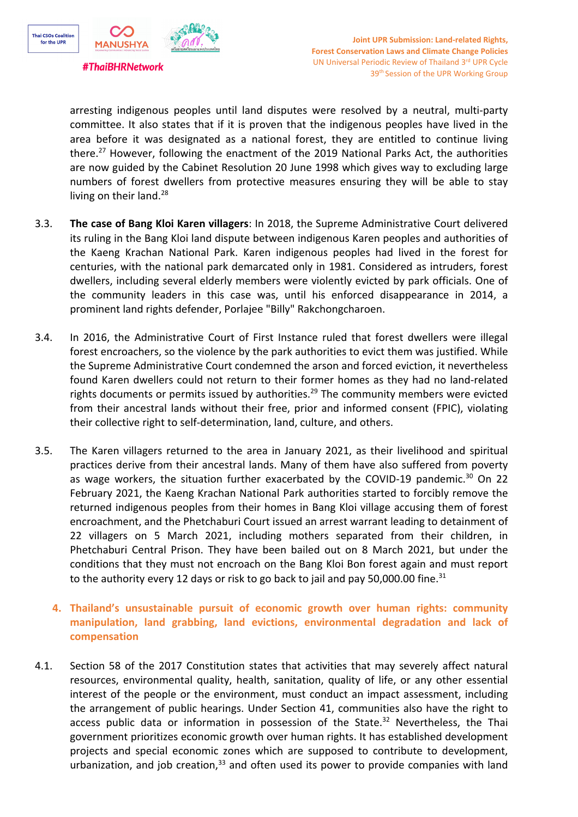

arresting indigenous peoples until land disputes were resolved by <sup>a</sup> neutral, multi-party committee. It also states that if it is proven that the indigenous peoples have lived in the area before it was designated as <sup>a</sup> national forest, they are entitled to continue living there. 27 However, following the enactment of the 2019 National Parks Act, the authorities are now guided by the Cabinet Resolution 20 June 1998 which gives way to excluding large numbers of forest dwellers from protective measures ensuring they will be able to stay living on their land.<sup>28</sup>

- 3.3. **The case of Bang Kloi Karen villagers**: In 2018, the Supreme Administrative Court delivered its ruling in the Bang Kloi land dispute between indigenous Karen peoples and authorities of the Kaeng Krachan National Park. Karen indigenous peoples had lived in the forest for centuries, with the national park demarcated only in 1981. Considered as intruders, forest dwellers, including several elderly members were violently evicted by park officials. One of the community leaders in this case was, until his enforced disappearance in 2014, <sup>a</sup> prominent land rights defender, Porlajee "Billy" Rakchongcharoen.
- 3.4. In 2016, the Administrative Court of First Instance ruled that forest dwellers were illegal forest encroachers, so the violence by the park authorities to evict them was justified. While the Supreme Administrative Court condemned the arson and forced eviction, it nevertheless found Karen dwellers could not return to their former homes as they had no land-related rights documents or permits issued by authorities.<sup>29</sup> The community members were evicted from their ancestral lands without their free, prior and informed consent (FPIC), violating their collective right to self-determination, land, culture, and others.
- 3.5. The Karen villagers returned to the area in January 2021, as their livelihood and spiritual practices derive from their ancestral lands. Many of them have also suffered from poverty as wage workers, the situation further exacerbated by the COVID-19 pandemic.<sup>30</sup> On 22 February 2021, the Kaeng Krachan National Park authorities started to forcibly remove the returned indigenous peoples from their homes in Bang Kloi village accusing them of forest encroachment, and the Phetchaburi Court issued an arrest warrant leading to detainment of 22 villagers on 5 March 2021, including mothers separated from their children, in Phetchaburi Central Prison. They have been bailed out on 8 March 2021, but under the conditions that they must not encroach on the Bang Kloi Bon forest again and must report to the authority every 12 days or risk to go back to jail and pay 50,000.00 fine.<sup>31</sup>
	- **4. Thailand'<sup>s</sup> unsustainable pursuit of economic growth over human rights: community manipulation, land grabbing, land evictions, environmental degradation and lack of compensation**
- 4.1. Section 58 of the 2017 Constitution states that activities that may severely affect natural resources, environmental quality, health, sanitation, quality of life, or any other essential interest of the people or the environment, must conduct an impact assessment, including the arrangement of public hearings. Under Section 41, communities also have the right to access public data or information in possession of the State.<sup>32</sup> Nevertheless, the Thai government prioritizes economic growth over human rights. It has established development projects and special economic zones which are supposed to contribute to development, urbanization, and job creation,<sup>33</sup> and often used its power to provide companies with land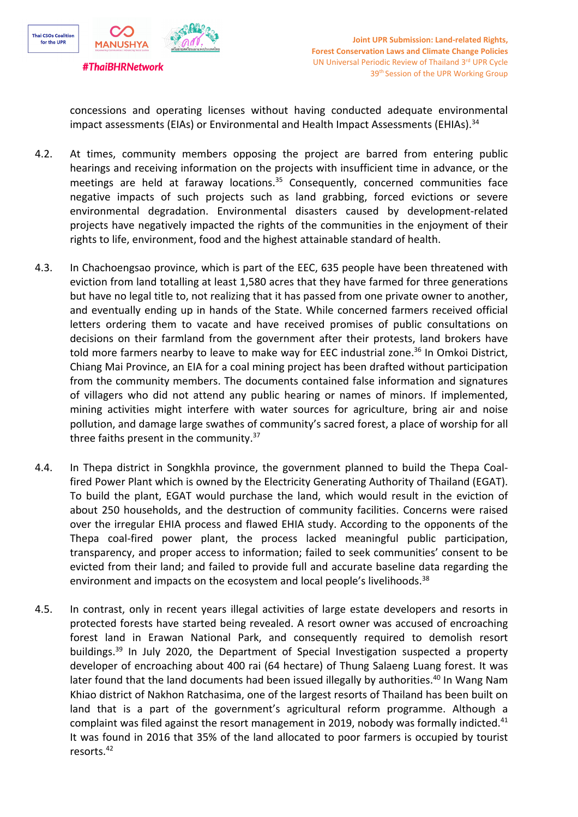

concessions and operating licenses without having conducted adequate environmental impact assessments (EIAs) or Environmental and Health Impact Assessments (EHIAs).<sup>34</sup>

- 4.2. At times, community members opposing the project are barred from entering public hearings and receiving information on the projects with insufficient time in advance, or the meetings are held at faraway locations.<sup>35</sup> Consequently, concerned communities face negative impacts of such projects such as land grabbing, forced evictions or severe environmental degradation. Environmental disasters caused by development-related projects have negatively impacted the rights of the communities in the enjoyment of their rights to life, environment, food and the highest attainable standard of health.
- 4.3. In Chachoengsao province, which is part of the EEC, 635 people have been threatened with eviction from land totalling at least 1,580 acres that they have farmed for three generations but have no legal title to, not realizing that it has passed from one private owner to another, and eventually ending up in hands of the State. While concerned farmers received official letters ordering them to vacate and have received promises of public consultations on decisions on their farmland from the government after their protests, land brokers have told more farmers nearby to leave to make way for EEC industrial zone.<sup>36</sup> In Omkoi District, Chiang Mai Province, an EIA for <sup>a</sup> coal mining project has been drafted without participation from the community members. The documents contained false information and signatures of villagers who did not attend any public hearing or names of minors. If implemented, mining activities might interfere with water sources for agriculture, bring air and noise pollution, and damage large swathes of community'<sup>s</sup> sacred forest, <sup>a</sup> place of worship for all three faiths present in the community.<sup>37</sup>
- 4.4. In Thepa district in Songkhla province, the government planned to build the Thepa Coalfired Power Plant which is owned by the Electricity Generating Authority of Thailand (EGAT). To build the plant, EGAT would purchase the land, which would result in the eviction of about 250 households, and the destruction of community facilities. Concerns were raised over the irregular EHIA process and flawed EHIA study. According to the opponents of the Thepa coal-fired power plant, the process lacked meaningful public participation, transparency, and proper access to information; failed to seek communities' consent to be evicted from their land; and failed to provide full and accurate baseline data regarding the environment and impacts on the ecosystem and local people's livelihoods.<sup>38</sup>
- 4.5. In contrast, only in recent years illegal activities of large estate developers and resorts in protected forests have started being revealed. A resort owner was accused of encroaching forest land in Erawan National Park, and consequently required to demolish resort buildings.<sup>39</sup> In July 2020, the Department of Special Investigation suspected a property developer of encroaching about 400 rai (64 hectare) of Thung Salaeng Luang forest. It was later found that the land documents had been issued illegally by authorities.<sup>40</sup> In Wang Nam Khiao district of Nakhon Ratchasima, one of the largest resorts of Thailand has been built on land that is <sup>a</sup> part of the government'<sup>s</sup> agricultural reform programme. Although <sup>a</sup> complaint was filed against the resort management in 2019, nobody was formally indicted.<sup>41</sup> It was found in 2016 that 35% of the land allocated to poor farmers is occupied by tourist resorts. 42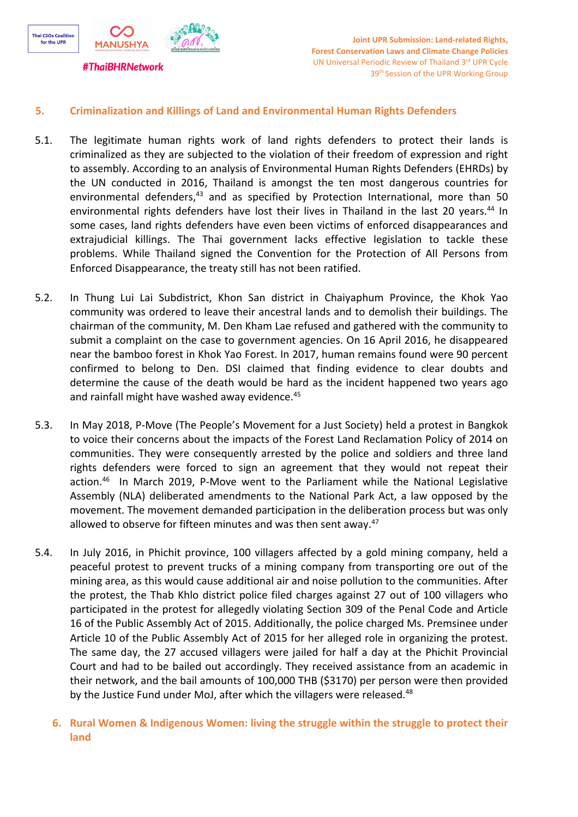

## **5. Criminalization and Killings of Land and Environmental Human Rights Defenders**

- 5.1. The legitimate human rights work of land rights defenders to protect their lands is criminalized as they are subjected to the violation of their freedom of expression and right to assembly. According to an analysis of Environmental Human Rights Defenders (EHRDs) by the UN conducted in 2016, Thailand is amongst the ten most dangerous countries for environmental defenders,<sup>43</sup> and as specified by Protection International, more than 50 environmental rights defenders have lost their lives in Thailand in the last 20 years.<sup>44</sup> In some cases, land rights defenders have even been victims of enforced disappearances and extrajudicial killings. The Thai government lacks effective legislation to tackle these problems. While Thailand signed the Convention for the Protection of All Persons from Enforced Disappearance, the treaty still has not been ratified.
- 5.2. In Thung Lui Lai Subdistrict, Khon San district in Chaiyaphum Province, the Khok Yao community was ordered to leave their ancestral lands and to demolish their buildings. The chairman of the community, M. Den Kham Lae refused and gathered with the community to submit <sup>a</sup> complaint on the case to government agencies. On 16 April 2016, he disappeared near the bamboo forest in Khok Yao Forest. In 2017, human remains found were 90 percent confirmed to belong to Den. DSI claimed that finding evidence to clear doubts and determine the cause of the death would be hard as the incident happened two years ago and rainfall might have washed away evidence.<sup>45</sup>
- 5.3. In May 2018, P-Move (The People'<sup>s</sup> Movement for <sup>a</sup> Just Society) held <sup>a</sup> protest in Bangkok to voice their concerns about the impacts of the Forest Land Reclamation Policy of 2014 on communities. They were consequently arrested by the police and soldiers and three land rights defenders were forced to sign an agreement that they would not repeat their action.<sup>46</sup> In March 2019, P-Move went to the Parliament while the National Legislative Assembly (NLA) deliberated amendments to the National Park Act, <sup>a</sup> law opposed by the movement. The movement demanded participation in the deliberation process but was only allowed to observe for fifteen minutes and was then sent away.<sup>47</sup>
- 5.4. In July 2016, in Phichit province, 100 villagers affected by <sup>a</sup> gold mining company, held <sup>a</sup> peaceful protest to prevent trucks of <sup>a</sup> mining company from transporting ore out of the mining area, as this would cause additional air and noise pollution to the communities. After the protest, the Thab Khlo district police filed charges against 27 out of 100 villagers who participated in the protest for allegedly violating Section 309 of the Penal Code and Article 16 of the Public Assembly Act of 2015. Additionally, the police charged Ms. Premsinee under Article 10 of the Public Assembly Act of 2015 for her alleged role in organizing the protest. The same day, the 27 accused villagers were jailed for half <sup>a</sup> day at the Phichit Provincial Court and had to be bailed out accordingly. They received assistance from an academic in their network, and the bail amounts of 100,000 THB (\$3170) per person were then provided by the Justice Fund under MoJ, after which the villagers were released.<sup>48</sup>
	- **6. Rural Women & Indigenous Women: living the struggle within the struggle to protect their land**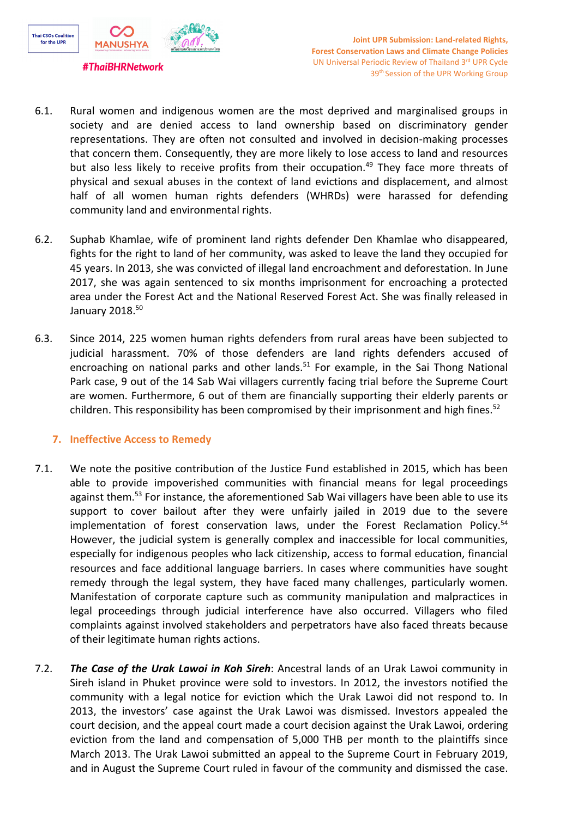

**#ThaiBHRNetwork** 

- 6.1. Rural women and indigenous women are the most deprived and marginalised groups in society and are denied access to land ownership based on discriminatory gender representations. They are often not consulted and involved in decision-making processes that concern them. Consequently, they are more likely to lose access to land and resources but also less likely to receive profits from their occupation.<sup>49</sup> They face more threats of physical and sexual abuses in the context of land evictions and displacement, and almost half of all women human rights defenders (WHRDs) were harassed for defending community land and environmental rights.
- 6.2. Suphab Khamlae, wife of prominent land rights defender Den Khamlae who disappeared, fights for the right to land of her community, was asked to leave the land they occupied for 45 years. In 2013, she was convicted of illegal land encroachment and deforestation. In June 2017, she was again sentenced to six months imprisonment for encroaching <sup>a</sup> protected area under the Forest Act and the National Reserved Forest Act. She was finally released in January 2018. 50
- 6.3. Since 2014, 225 women human rights defenders from rural areas have been subjected to judicial harassment. 70% of those defenders are land rights defenders accused of encroaching on national parks and other lands.<sup>51</sup> For example, in the Sai Thong National Park case, 9 out of the 14 Sab Wai villagers currently facing trial before the Supreme Court are women. Furthermore, 6 out of them are financially supporting their elderly parents or children. This responsibility has been compromised by their imprisonment and high fines.<sup>52</sup>

## **7. Ineffective Access to Remedy**

- 7.1. We note the positive contribution of the Justice Fund established in 2015, which has been able to provide impoverished communities with financial means for legal proceedings against them.<sup>53</sup> For instance, the aforementioned Sab Wai villagers have been able to use its support to cover bailout after they were unfairly jailed in 2019 due to the severe implementation of forest conservation laws, under the Forest Reclamation Policy. 54 However, the judicial system is generally complex and inaccessible for local communities, especially for indigenous peoples who lack citizenship, access to formal education, financial resources and face additional language barriers. In cases where communities have sought remedy through the legal system, they have faced many challenges, particularly women. Manifestation of corporate capture such as community manipulation and malpractices in legal proceedings through judicial interference have also occurred. Villagers who filed complaints against involved stakeholders and perpetrators have also faced threats because of their legitimate human rights actions.
- 7.2. *The Case of the Urak Lawoi in Koh Sireh*: Ancestral lands of an Urak Lawoi community in Sireh island in Phuket province were sold to investors. In 2012, the investors notified the community with <sup>a</sup> legal notice for eviction which the Urak Lawoi did not respond to. In 2013, the investors' case against the Urak Lawoi was dismissed. Investors appealed the court decision, and the appeal court made <sup>a</sup> court decision against the Urak Lawoi, ordering eviction from the land and compensation of 5,000 THB per month to the plaintiffs since March 2013. The Urak Lawoi submitted an appeal to the Supreme Court in February 2019, and in August the Supreme Court ruled in favour of the community and dismissed the case.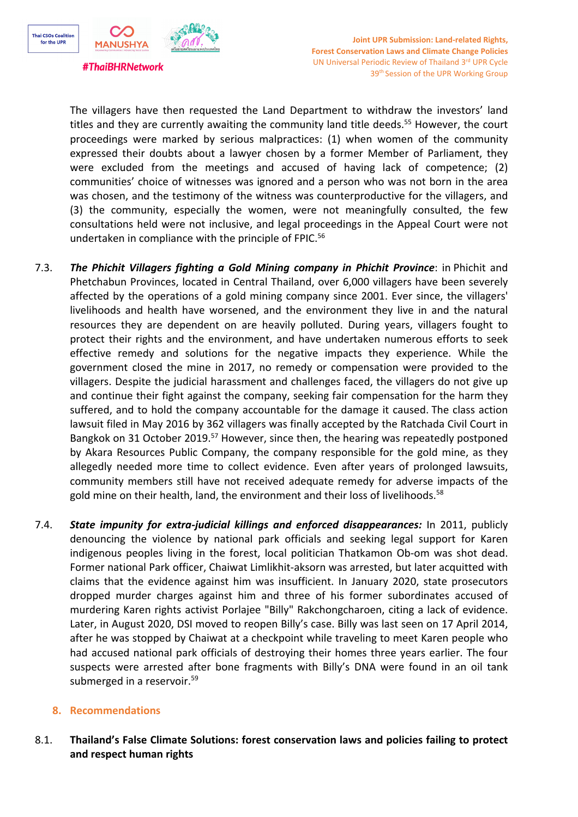

The villagers have then requested the Land Department to withdraw the investors' land titles and they are currently awaiting the community land title deeds.<sup>55</sup> However, the court proceedings were marked by serious malpractices: (1) when women of the community expressed their doubts about <sup>a</sup> lawyer chosen by <sup>a</sup> former Member of Parliament, they were excluded from the meetings and accused of having lack of competence; (2) communities' choice of witnesses was ignored and <sup>a</sup> person who was not born in the area was chosen, and the testimony of the witness was counterproductive for the villagers, and (3) the community, especially the women, were not meaningfully consulted, the few consultations held were not inclusive, and legal proceedings in the Appeal Court were not undertaken in compliance with the principle of FPIC.<sup>56</sup>

- 7.3. *The Phichit Villagers fighting <sup>a</sup> Gold Mining company in Phichit Province*: in Phichit and Phetchabun Provinces, located in Central Thailand, over 6,000 villagers have been severely affected by the operations of <sup>a</sup> gold mining company since 2001. Ever since, the villagers' livelihoods and health have worsened, and the environment they live in and the natural resources they are dependent on are heavily polluted. During years, villagers fought to protect their rights and the environment, and have undertaken numerous efforts to seek effective remedy and solutions for the negative impacts they experience. While the government closed the mine in 2017, no remedy or compensation were provided to the villagers. Despite the judicial harassment and challenges faced, the villagers do not give up and continue their fight against the company, seeking fair compensation for the harm they suffered, and to hold the company accountable for the damage it caused. The class action lawsuit filed in May 2016 by 362 villagers was finally accepted by the Ratchada Civil Court in Bangkok on 31 October 2019.<sup>57</sup> However, since then, the hearing was repeatedly postponed by Akara Resources Public Company, the company responsible for the gold mine, as they allegedly needed more time to collect evidence. Even after years of prolonged lawsuits, community members still have not received adequate remedy for adverse impacts of the gold mine on their health, land, the environment and their loss of livelihoods.<sup>58</sup>
- 7.4. *State impunity for extra-judicial killings and enforced disappearances:* In 2011, publicly denouncing the violence by national park officials and seeking legal support for Karen indigenous peoples living in the forest, local politician Thatkamon Ob-om was shot dead. Former national Park officer, Chaiwat Limlikhit-aksorn was arrested, but later acquitted with claims that the evidence against him was insufficient. In January 2020, state prosecutors dropped murder charges against him and three of his former subordinates accused of murdering Karen rights activist Porlajee "Billy" Rakchongcharoen, citing <sup>a</sup> lack of evidence. Later, in August 2020, DSI moved to reopen Billy'<sup>s</sup> case. Billy was last seen on 17 April 2014, after he was stopped by Chaiwat at <sup>a</sup> checkpoint while traveling to meet Karen people who had accused national park officials of destroying their homes three years earlier. The four suspects were arrested after bone fragments with Billy'<sup>s</sup> DNA were found in an oil tank submerged in <sup>a</sup> reservoir. 59

## **8. Recommendations**

8.1. **Thailand'<sup>s</sup> False Climate Solutions: forest conservation laws and policies failing to protect and respect human rights**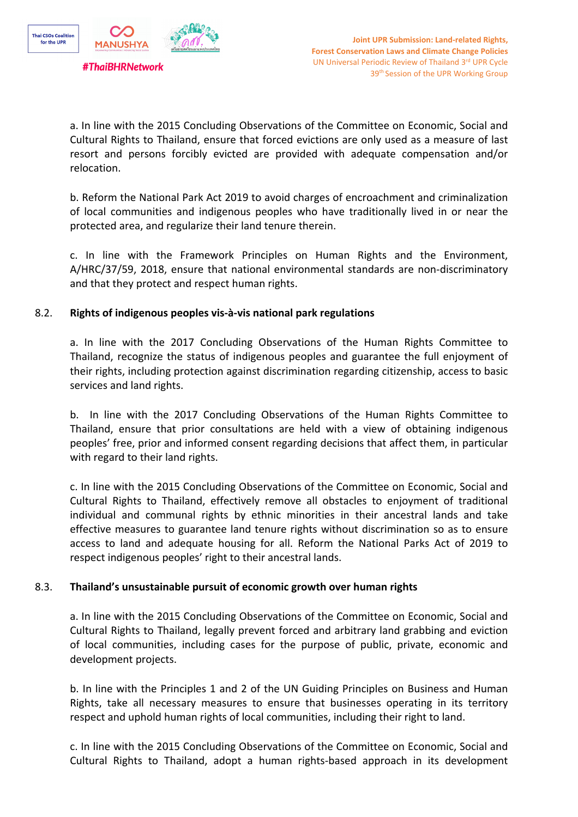

a. In line with the 2015 Concluding Observations of the Committee on Economic, Social and Cultural Rights to Thailand, ensure that forced evictions are only used as <sup>a</sup> measure of last resort and persons forcibly evicted are provided with adequate compensation and/or relocation.

b. Reform the National Park Act 2019 to avoid charges of encroachment and criminalization of local communities and indigenous peoples who have traditionally lived in or near the protected area, and regularize their land tenure therein.

c. In line with the Framework Principles on Human Rights and the Environment, A/HRC/37/59, 2018, ensure that national environmental standards are non-discriminatory and that they protect and respect human rights.

#### 8.2. **Rights of indigenous peoples vis-à-vis national park regulations**

a. In line with the 2017 Concluding Observations of the Human Rights Committee to Thailand, recognize the status of indigenous peoples and guarantee the full enjoyment of their rights, including protection against discrimination regarding citizenship, access to basic services and land rights.

b. In line with the 2017 Concluding Observations of the Human Rights Committee to Thailand, ensure that prior consultations are held with <sup>a</sup> view of obtaining indigenous peoples' free, prior and informed consent regarding decisions that affect them, in particular with regard to their land rights.

c. In line with the 2015 Concluding Observations of the Committee on Economic, Social and Cultural Rights to Thailand, effectively remove all obstacles to enjoyment of traditional individual and communal rights by ethnic minorities in their ancestral lands and take effective measures to guarantee land tenure rights without discrimination so as to ensure access to land and adequate housing for all. Reform the National Parks Act of 2019 to respect indigenous peoples' right to their ancestral lands.

## 8.3. **Thailand'<sup>s</sup> unsustainable pursuit of economic growth over human rights**

a. In line with the 2015 Concluding Observations of the Committee on Economic, Social and Cultural Rights to Thailand, legally prevent forced and arbitrary land grabbing and eviction of local communities, including cases for the purpose of public, private, economic and development projects.

b. In line with the Principles 1 and 2 of the UN Guiding Principles on Business and Human Rights, take all necessary measures to ensure that businesses operating in its territory respect and uphold human rights of local communities, including their right to land.

c. In line with the 2015 Concluding Observations of the Committee on Economic, Social and Cultural Rights to Thailand, adopt <sup>a</sup> human rights-based approach in its development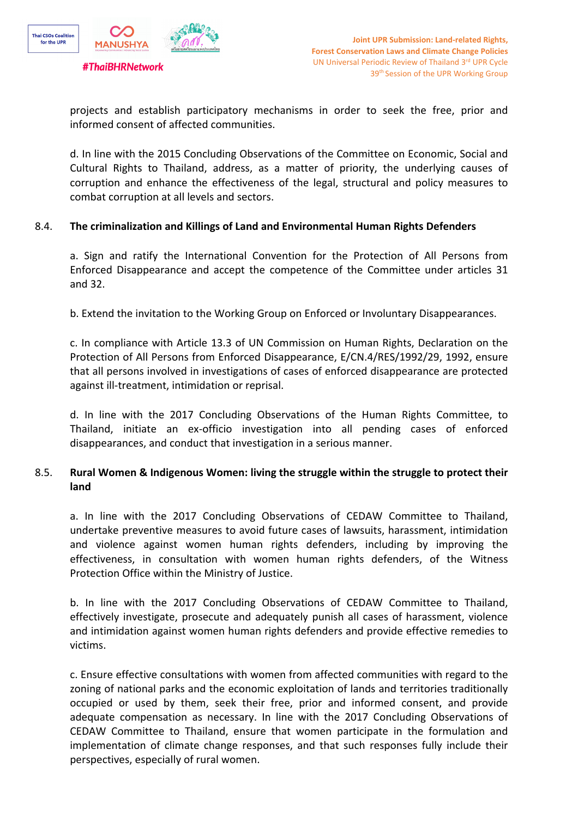

projects and establish participatory mechanisms in order to seek the free, prior and informed consent of affected communities.

d. In line with the 2015 Concluding Observations of the Committee on Economic, Social and Cultural Rights to Thailand, address, as <sup>a</sup> matter of priority, the underlying causes of corruption and enhance the effectiveness of the legal, structural and policy measures to combat corruption at all levels and sectors.

#### 8.4. **The criminalization and Killings of Land and Environmental Human Rights Defenders**

a. Sign and ratify the International Convention for the Protection of All Persons from Enforced Disappearance and accept the competence of the Committee under articles 31 and 32.

b. Extend the invitation to the Working Group on Enforced or Involuntary Disappearances.

c. In compliance with Article 13.3 of UN Commission on Human Rights, Declaration on the Protection of All Persons from Enforced Disappearance, E/CN.4/RES/1992/29, 1992, ensure that all persons involved in investigations of cases of enforced disappearance are protected against ill-treatment, intimidation or reprisal.

d. In line with the 2017 Concluding Observations of the Human Rights Committee, to Thailand, initiate an ex-officio investigation into all pending cases of enforced disappearances, and conduct that investigation in <sup>a</sup> serious manner.

# 8.5. **Rural Women & Indigenous Women: living the struggle within the struggle to protect their land**

a. In line with the 2017 Concluding Observations of CEDAW Committee to Thailand, undertake preventive measures to avoid future cases of lawsuits, harassment, intimidation and violence against women human rights defenders, including by improving the effectiveness, in consultation with women human rights defenders, of the Witness Protection Office within the Ministry of Justice.

b. In line with the 2017 Concluding Observations of CEDAW Committee to Thailand, effectively investigate, prosecute and adequately punish all cases of harassment, violence and intimidation against women human rights defenders and provide effective remedies to victims.

c. Ensure effective consultations with women from affected communities with regard to the zoning of national parks and the economic exploitation of lands and territories traditionally occupied or used by them, seek their free, prior and informed consent, and provide adequate compensation as necessary. In line with the 2017 Concluding Observations of CEDAW Committee to Thailand, ensure that women participate in the formulation and implementation of climate change responses, and that such responses fully include their perspectives, especially of rural women.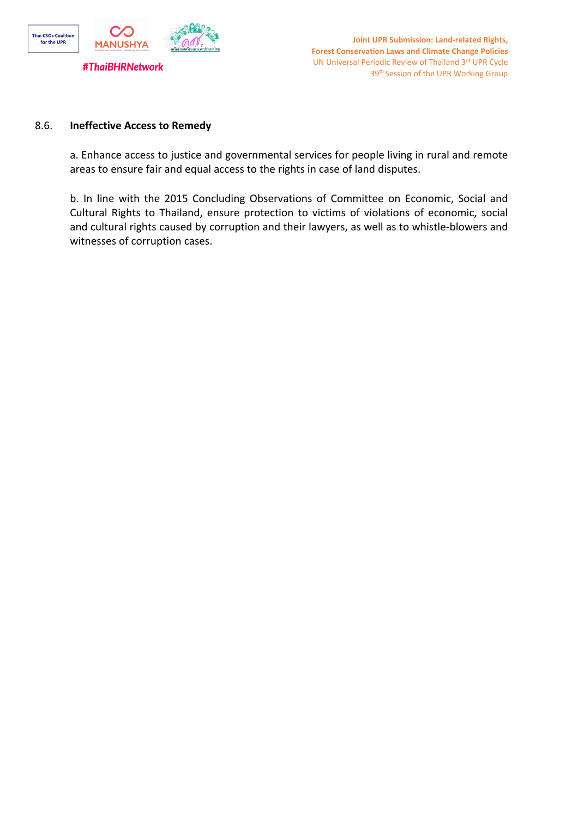

#### 8.6. **Ineffective Access to Remedy**

a. Enhance access to justice and governmental services for people living in rural and remote areas to ensure fair and equal access to the rights in case of land disputes.

b. In line with the 2015 Concluding Observations of Committee on Economic, Social and Cultural Rights to Thailand, ensure protection to victims of violations of economic, social and cultural rights caused by corruption and their lawyers, as well as to whistle-blowers and witnesses of corruption cases.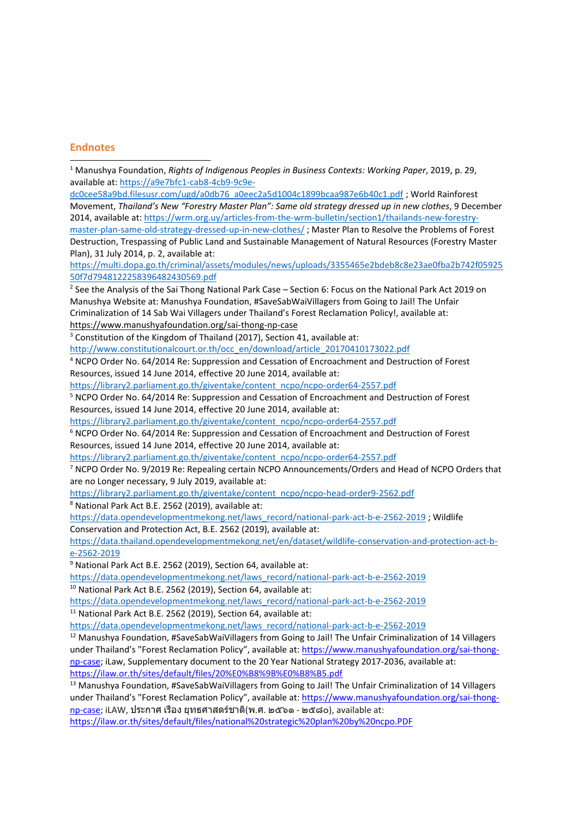#### **Endnotes**

| <sup>1</sup> Manushya Foundation, Rights of Indigenous Peoples in Business Contexts: Working Paper, 2019, p. 29,       |
|------------------------------------------------------------------------------------------------------------------------|
| available at: https://a9e7bfc1-cab8-4cb9-9c9e-                                                                         |
| dc0cee58a9bd.filesusr.com/ugd/a0db76_a0eec2a5d1004c1899bcaa987e6b40c1.pdf; World Rainforest                            |
| Movement, Thailand's New "Forestry Master Plan": Same old strategy dressed up in new clothes, 9 December               |
| 2014, available at: https://wrm.org.uy/articles-from-the-wrm-bulletin/section1/thailands-new-forestry-                 |
| master-plan-same-old-strategy-dressed-up-in-new-clothes/; Master Plan to Resolve the Problems of Forest                |
| Destruction, Trespassing of Public Land and Sustainable Management of Natural Resources (Forestry Master               |
| Plan), 31 July 2014, p. 2, available at:                                                                               |
| https://multi.dopa.go.th/criminal/assets/modules/news/uploads/3355465e2bdeb8c8e23ae0fba2b742f05925                     |
| 50f7d7948122258396482430569.pdf                                                                                        |
| <sup>2</sup> See the Analysis of the Sai Thong National Park Case - Section 6: Focus on the National Park Act 2019 on  |
| Manushya Website at: Manushya Foundation, #SaveSabWaiVillagers from Going to Jail! The Unfair                          |
| Criminalization of 14 Sab Wai Villagers under Thailand's Forest Reclamation Policy!, available at:                     |
| https://www.manushyafoundation.org/sai-thong-np-case                                                                   |
| <sup>3</sup> Constitution of the Kingdom of Thailand (2017), Section 41, available at:                                 |
| http://www.constitutionalcourt.or.th/occ_en/download/article_20170410173022.pdf                                        |
| <sup>4</sup> NCPO Order No. 64/2014 Re: Suppression and Cessation of Encroachment and Destruction of Forest            |
| Resources, issued 14 June 2014, effective 20 June 2014, available at:                                                  |
| https://library2.parliament.go.th/giventake/content_ncpo/ncpo-order64-2557.pdf                                         |
| <sup>5</sup> NCPO Order No. 64/2014 Re: Suppression and Cessation of Encroachment and Destruction of Forest            |
| Resources, issued 14 June 2014, effective 20 June 2014, available at:                                                  |
| https://library2.parliament.go.th/giventake/content_ncpo/ncpo-order64-2557.pdf                                         |
| $6$ NCPO Order No. 64/2014 Re: Suppression and Cessation of Encroachment and Destruction of Forest                     |
| Resources, issued 14 June 2014, effective 20 June 2014, available at:                                                  |
| https://library2.parliament.go.th/giventake/content_ncpo/ncpo-order64-2557.pdf                                         |
| <sup>7</sup> NCPO Order No. 9/2019 Re: Repealing certain NCPO Announcements/Orders and Head of NCPO Orders that        |
| are no Longer necessary, 9 July 2019, available at:                                                                    |
| https://library2.parliament.go.th/giventake/content_ncpo/ncpo-head-order9-2562.pdf                                     |
| <sup>8</sup> National Park Act B.E. 2562 (2019), available at:                                                         |
| https://data.opendevelopmentmekong.net/laws record/national-park-act-b-e-2562-2019; Wildlife                           |
| Conservation and Protection Act, B.E. 2562 (2019), available at:                                                       |
| https://data.thailand.opendevelopmentmekong.net/en/dataset/wildlife-conservation-and-protection-act-b-                 |
| e-2562-2019                                                                                                            |
| <sup>9</sup> National Park Act B.E. 2562 (2019), Section 64, available at:                                             |
| https://data.opendevelopmentmekong.net/laws_record/national-park-act-b-e-2562-2019                                     |
| <sup>10</sup> National Park Act B.E. 2562 (2019), Section 64, available at:                                            |
| https://data.opendevelopmentmekong.net/laws record/national-park-act-b-e-2562-2019                                     |
| <sup>11</sup> National Park Act B.E. 2562 (2019), Section 64, available at:                                            |
| https://data.opendevelopmentmekong.net/laws record/national-park-act-b-e-2562-2019                                     |
| <sup>12</sup> Manushya Foundation, #SaveSabWaiVillagers from Going to Jail! The Unfair Criminalization of 14 Villagers |
| under Thailand's "Forest Reclamation Policy", available at: https://www.manushyafoundation.org/sai-thong-              |
| np-case; iLaw, Supplementary document to the 20 Year National Strategy 2017-2036, available at:                        |
| https://ilaw.or.th/sites/default/files/20%E0%B8%9B%E0%B8%B5.pdf                                                        |
| <sup>13</sup> Manushya Foundation, #SaveSabWaiVillagers from Going to Jail! The Unfair Criminalization of 14 Villagers |
| under Thailand's "Forest Reclamation Policy", available at: https://www.manushyafoundation.org/sai-thong-              |

[np-case](https://www.manushyafoundation.org/sai-thong-np-case); iLAW, ประกาศ เรื่อง ยุทธศาสตร์ชาติ(<sup>พ</sup>.ศ. <sup>๒๕๖๑</sup> - <sup>๒๕๘๐</sup>), available at: <https://ilaw.or.th/sites/default/files/national%20strategic%20plan%20by%20ncpo.PDF>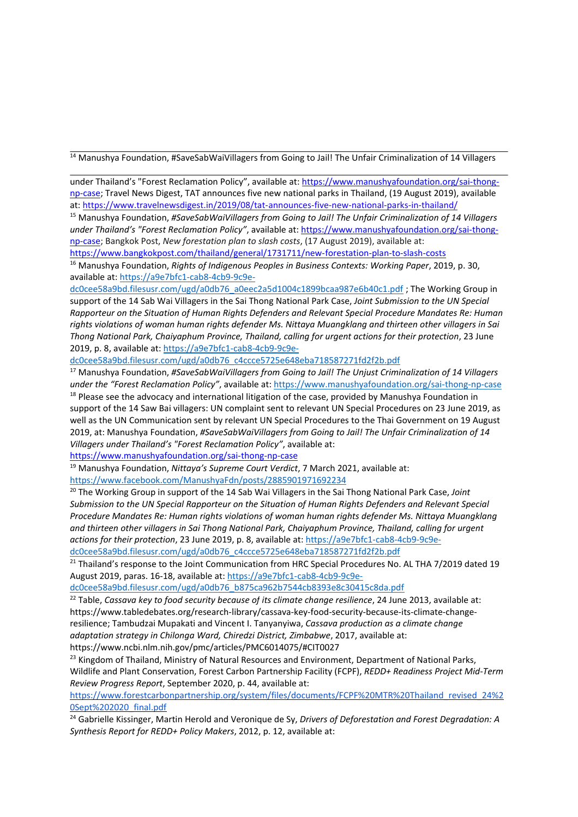<sup>14</sup> Manushya Foundation, #SaveSabWaiVillagers from Going to Jail! The Unfair Criminalization of 14 Villagers

under Thailand'<sup>s</sup> "Forest Reclamation Policy", available at: [https://www.manushyafoundation.org/sai-thong](https://www.manushyafoundation.org/sai-thong-np-case)[np-case](https://www.manushyafoundation.org/sai-thong-np-case); Travel News Digest, TAT announces five new national parks in Thailand, (19 August 2019), available at: <https://www.travelnewsdigest.in/2019/08/tat-announces-five-new-national-parks-in-thailand/>

<sup>15</sup> Manushya Foundation, *#SaveSabWaiVillagers from Going to Jail! The Unfair Criminalization of <sup>14</sup> Villagers under Thailand'<sup>s</sup> "Forest Reclamation Policy"*, available at: [https://www.manushyafoundation.org/sai-thong](https://www.manushyafoundation.org/sai-thong-np-case)[np-case](https://www.manushyafoundation.org/sai-thong-np-case); Bangkok Post, *New forestation plan to slash costs*, (17 August 2019), available at: <https://www.bangkokpost.com/thailand/general/1731711/new-forestation-plan-to-slash-costs>

<sup>16</sup> Manushya Foundation, *Rights of Indigenous Peoples in Business Contexts: Working Paper*, 2019, p. 30, available at: [https://a9e7bfc1-cab8-4cb9-9c9e-](https://a9e7bfc1-cab8-4cb9-9c9e-dc0cee58a9bd.filesusr.com/ugd/a0db76_a0eec2a5d1004c1899bcaa987e6b40c1.pdf)

[dc0cee58a9bd.filesusr.com/ugd/a0db76\\_a0eec2a5d1004c1899bcaa987e6b40c1.pdf](https://a9e7bfc1-cab8-4cb9-9c9e-dc0cee58a9bd.filesusr.com/ugd/a0db76_a0eec2a5d1004c1899bcaa987e6b40c1.pdf) ; The Working Group in support of the 14 Sab Wai Villagers in the Sai Thong National Park Case, *Joint Submission to the UN Special Rapporteur on the Situation of Human Rights Defenders and Relevant Special Procedure Mandates Re: Human rights violations of woman human rights defender Ms. Nittaya Muangklang and thirteen other villagers in Sai Thong National Park, Chaiyaphum Province, Thailand, calling for urgent actions for their protection*, 23 June 2019, p. 8, available at: [https://a9e7bfc1-cab8-4cb9-9c9e-](https://a9e7bfc1-cab8-4cb9-9c9e-dc0cee58a9bd.filesusr.com/ugd/a0db76_c4ccce5725e648eba718587271fd2f2b.pdf)

[dc0cee58a9bd.filesusr.com/ugd/a0db76\\_c4ccce5725e648eba718587271fd2f2b.pdf](https://a9e7bfc1-cab8-4cb9-9c9e-dc0cee58a9bd.filesusr.com/ugd/a0db76_c4ccce5725e648eba718587271fd2f2b.pdf)

<sup>17</sup> Manushya Foundation, *#SaveSabWaiVillagers from Going to Jail! The Unjust Criminalization of <sup>14</sup> Villagers under the "Forest Reclamation Policy"*, available at: <https://www.manushyafoundation.org/sai-thong-np-case>  $^{18}$  Please see the advocacy and international litigation of the case, provided by Manushya Foundation in support of the 14 Saw Bai villagers: UN complaint sent to relevant UN Special Procedures on 23 June 2019, as well as the UN Communication sent by relevant UN Special Procedures to the Thai Government on 19 August 2019, at: Manushya Foundation, *#SaveSabWaiVillagers from Going to Jail! The Unfair Criminalization of 14 Villagers under Thailand'<sup>s</sup> "Forest Reclamation Policy"*, available at:

<https://www.manushyafoundation.org/sai-thong-np-case>

<sup>19</sup> Manushya Foundation, *Nittaya'<sup>s</sup> Supreme Court Verdict*, <sup>7</sup> March 2021, available at: <https://www.facebook.com/ManushyaFdn/posts/2885901971692234>

20 The Working Group in support of the 14 Sab Wai Villagers in the Sai Thong National Park Case, *Joint Submission to the UN Special Rapporteur on the Situation of Human Rights Defenders and Relevant Special Procedure Mandates Re: Human rights violations of woman human rights defender Ms. Nittaya Muangklang and thirteen other villagers in Sai Thong National Park, Chaiyaphum Province, Thailand, calling for urgent actions for their protection*, 23 June 2019, p. 8, available at: [https://a9e7bfc1-cab8-4cb9-9c9e-](https://a9e7bfc1-cab8-4cb9-9c9e-dc0cee58a9bd.filesusr.com/ugd/a0db76_c4ccce5725e648eba718587271fd2f2b.pdf)

[dc0cee58a9bd.filesusr.com/ugd/a0db76\\_c4ccce5725e648eba718587271fd2f2b.pdf](https://a9e7bfc1-cab8-4cb9-9c9e-dc0cee58a9bd.filesusr.com/ugd/a0db76_c4ccce5725e648eba718587271fd2f2b.pdf)

<sup>21</sup> Thailand's response to the Joint Communication from HRC Special Procedures No. AL THA 7/2019 dated 19 August 2019, paras. 16-18, available at: [https://a9e7bfc1-cab8-4cb9-9c9e-](https://a9e7bfc1-cab8-4cb9-9c9e-dc0cee58a9bd.filesusr.com/ugd/a0db76_b875ca962b7544cb8393e8c30415c8da.pdf)

[dc0cee58a9bd.filesusr.com/ugd/a0db76\\_b875ca962b7544cb8393e8c30415c8da.pdf](https://a9e7bfc1-cab8-4cb9-9c9e-dc0cee58a9bd.filesusr.com/ugd/a0db76_b875ca962b7544cb8393e8c30415c8da.pdf)

22 Table, *Cassava key to food security because of its climate change resilience*, 24 June 2013, available at: [https://www.tabledebates.org/research-library/cassava-key-food-security-because-its-climate-change](https://www.tabledebates.org/research-library/cassava-key-food-security-because-its-climate-change-resilience)[resilience](https://www.tabledebates.org/research-library/cassava-key-food-security-because-its-climate-change-resilience); Tambudzai [Mupakati](https://www.ncbi.nlm.nih.gov/pubmed/?term=Mupakati%20T%5BAuthor%5D&cauthor=true&cauthor_uid=29955331) and Vincent I. [Tanyanyiwa](https://www.ncbi.nlm.nih.gov/pubmed/?term=Tanyanyiwa%20VI%5BAuthor%5D&cauthor=true&cauthor_uid=29955331), *Cassava production as <sup>a</sup> climate change adaptation strategy in Chilonga Ward, Chiredzi District, Zimbabwe*, 2017, available at: https://www.ncbi.nlm.nih.gov/pmc/articles/PMC6014075/#CIT0027

 $^{23}$  Kingdom of Thailand, Ministry of Natural Resources and Environment, Department of National Parks, Wildlife and Plant Conservation, Forest Carbon Partnership Facility (FCPF), *REDD+ Readiness Project Mid-Term Review Progress Report*, September 2020, p. 44, available at:

[https://www.forestcarbonpartnership.org/system/files/documents/FCPF%20MTR%20Thailand\\_revised\\_24%2](https://www.forestcarbonpartnership.org/system/files/documents/FCPF%20MTR%20Thailand_revised_24%20Sept%202020_final.pdf) [0Sept%202020\\_final.pdf](https://www.forestcarbonpartnership.org/system/files/documents/FCPF%20MTR%20Thailand_revised_24%20Sept%202020_final.pdf)

24 Gabrielle Kissinger, Martin Herold and Veronique de Sy, *Drivers of Deforestation and Forest Degradation: A Synthesis Report for REDD+ Policy Makers*, 2012, p. 12, available at: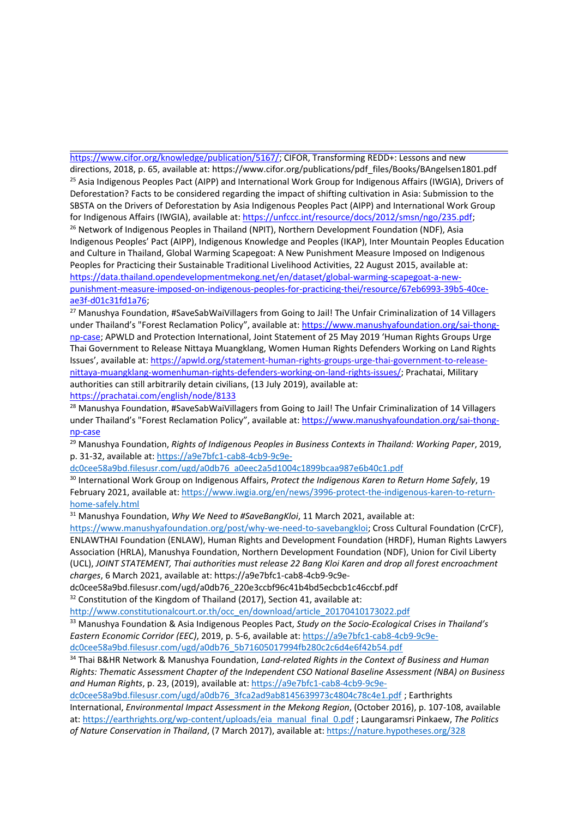[https://www.cifor.org/knowledge/publication/5167/;](https://www.cifor.org/knowledge/publication/5167/) CIFOR, Transforming REDD+: Lessons and new directions, 2018, p. 65, available at: https://www.cifor.org/publications/pdf\_files/Books/BAngelsen1801.pdf <sup>25</sup> Asia Indigenous Peoples Pact (AIPP) and International Work Group for Indigenous Affairs (IWGIA), Drivers of Deforestation? Facts to be considered regarding the impact of shifting cultivation in Asia: Submission to the SBSTA on the Drivers of Deforestation by Asia Indigenous Peoples Pact (AIPP) and International Work Group for Indigenous Affairs (IWGIA), available at: <https://unfccc.int/resource/docs/2012/smsn/ngo/235.pdf>;

<sup>26</sup> Network of Indigenous Peoples in Thailand (NPIT), Northern Development Foundation (NDF), Asia Indigenous Peoples' Pact (AIPP), Indigenous Knowledge and Peoples (IKAP), Inter Mountain Peoples Education and Culture in Thailand, Global Warming Scapegoat: A New Punishment Measure Imposed on Indigenous Peoples for Practicing their Sustainable Traditional Livelihood Activities, 22 August 2015, available at: [https://data.thailand.opendevelopmentmekong.net/en/dataset/global-warming-scapegoat-a-new](https://data.thailand.opendevelopmentmekong.net/en/dataset/global-warming-scapegoat-a-new-punishment-measure-imposed-on-indigenous-peoples-for-practicing-thei/resource/67eb6993-39b5-40ce-ae3f-d01c31fd1a76)[punishment-measure-imposed-on-indigenous-peoples-for-practicing-thei/resource/67eb6993-39b5-40ce](https://data.thailand.opendevelopmentmekong.net/en/dataset/global-warming-scapegoat-a-new-punishment-measure-imposed-on-indigenous-peoples-for-practicing-thei/resource/67eb6993-39b5-40ce-ae3f-d01c31fd1a76)[ae3f-d01c31fd1a76](https://data.thailand.opendevelopmentmekong.net/en/dataset/global-warming-scapegoat-a-new-punishment-measure-imposed-on-indigenous-peoples-for-practicing-thei/resource/67eb6993-39b5-40ce-ae3f-d01c31fd1a76);

<sup>27</sup> Manushya Foundation, #SaveSabWaiVillagers from Going to Jail! The Unfair Criminalization of 14 Villagers under Thailand'<sup>s</sup> "Forest Reclamation Policy", available at: [https://www.manushyafoundation.org/sai-thong](https://www.manushyafoundation.org/sai-thong-np-case)[np-case](https://www.manushyafoundation.org/sai-thong-np-case); APWLD and Protection International, Joint Statement of 25 May 2019 'Human Rights Groups Urge Thai Government to Release Nittaya Muangklang, Women Human Rights Defenders Working on Land Rights Issues', available at: [https://apwld.org/statement-human-rights-groups-urge-thai-government-to-release](https://apwld.org/statement-human-rights-groups-urge-thai-government-to-release-nittaya-muangklang-womenhuman-rights-defenders-working-on-land-rights-issues/)[nittaya-muangklang-womenhuman-rights-defenders-working-on-land-rights-issues/](https://apwld.org/statement-human-rights-groups-urge-thai-government-to-release-nittaya-muangklang-womenhuman-rights-defenders-working-on-land-rights-issues/); Prachatai, Military authorities can still arbitrarily detain civilians, (13 July 2019), available at: <https://prachatai.com/english/node/8133>

<sup>28</sup> Manushya Foundation, #SaveSabWaiVillagers from Going to Jail! The Unfair Criminalization of 14 Villagers under Thailand'<sup>s</sup> "Forest Reclamation Policy", available at: [https://www.manushyafoundation.org/sai-thong](https://www.manushyafoundation.org/sai-thong-np-case)[np-case](https://www.manushyafoundation.org/sai-thong-np-case)

<sup>29</sup> Manushya Foundation, *Rights of Indigenous Peoples in Business Contexts in Thailand: Working Paper*, 2019, p. 31-32, available at: [https://a9e7bfc1-cab8-4cb9-9c9e-](https://a9e7bfc1-cab8-4cb9-9c9e-dc0cee58a9bd.filesusr.com/ugd/a0db76_a0eec2a5d1004c1899bcaa987e6b40c1.pdf)

[dc0cee58a9bd.filesusr.com/ugd/a0db76\\_a0eec2a5d1004c1899bcaa987e6b40c1.pdf](https://a9e7bfc1-cab8-4cb9-9c9e-dc0cee58a9bd.filesusr.com/ugd/a0db76_a0eec2a5d1004c1899bcaa987e6b40c1.pdf)

30 International Work Group on Indigenous Affairs, *Protect the Indigenous Karen to Return Home Safely*, 19 February 2021, available at: [https://www.iwgia.org/en/news/3996-protect-the-indigenous-karen-to-return](https://www.iwgia.org/en/news/3996-protect-the-indigenous-karen-to-return-home-safely.html)[home-safely.html](https://www.iwgia.org/en/news/3996-protect-the-indigenous-karen-to-return-home-safely.html)

<sup>31</sup> Manushya Foundation, *Why We Need to #SaveBangKloi*, <sup>11</sup> March 2021, available at:

<https://www.manushyafoundation.org/post/why-we-need-to-savebangkloi>; Cross Cultural Foundation (CrCF), ENLAWTHAI Foundation (ENLAW), Human Rights and Development Foundation (HRDF), Human Rights Lawyers Association (HRLA), Manushya Foundation, Northern Development Foundation (NDF), Union for Civil Liberty (UCL), *JOINT STATEMENT, Thai authorities must release 22 Bang Kloi Karen and drop all forest encroachment charges*, 6 March 2021, available at: https://a9e7bfc1-cab8-4cb9-9c9e-

dc0cee58a9bd.filesusr.com/ugd/a0db76\_220e3ccbf96c41b4bd5ecbcb1c46ccbf.pdf

 $32$  Constitution of the Kingdom of Thailand (2017), Section 41, available at:

[http://www.constitutionalcourt.or.th/occ\\_en/download/article\\_20170410173022.pdf](http://www.constitutionalcourt.or.th/occ_en/download/article_20170410173022.pdf)

<sup>33</sup> Manushya Foundation & Asia Indigenous Peoples Pact, *Study on the Socio-Ecological Crises in Thailand'<sup>s</sup> Eastern Economic Corridor (EEC)*, 2019, p. 5-6, available at: [https://a9e7bfc1-cab8-4cb9-9c9e](https://a9e7bfc1-cab8-4cb9-9c9e-dc0cee58a9bd.filesusr.com/ugd/a0db76_5b71605017994fb280c2c6d4e6f42b54.pdf)[dc0cee58a9bd.filesusr.com/ugd/a0db76\\_5b71605017994fb280c2c6d4e6f42b54.pdf](https://a9e7bfc1-cab8-4cb9-9c9e-dc0cee58a9bd.filesusr.com/ugd/a0db76_5b71605017994fb280c2c6d4e6f42b54.pdf)

34 Thai B&HR Network & Manushya Foundation, *Land-related Rights in the Context of Business and Human Rights: Thematic Assessment Chapter of the Independent CSO National Baseline Assessment (NBA) on Business and Human Rights*, p. 23, (2019), available at: [https://a9e7bfc1-cab8-4cb9-9c9e-](https://a9e7bfc1-cab8-4cb9-9c9e-dc0cee58a9bd.filesusr.com/ugd/a0db76_3fca2ad9ab8145639973c4804c78c4e1.pdf)

[dc0cee58a9bd.filesusr.com/ugd/a0db76\\_3fca2ad9ab8145639973c4804c78c4e1.pdf](https://a9e7bfc1-cab8-4cb9-9c9e-dc0cee58a9bd.filesusr.com/ugd/a0db76_3fca2ad9ab8145639973c4804c78c4e1.pdf) ; Earthrights International, *Environmental Impact Assessment in the Mekong Region*, (October 2016), p. 107-108, available at: [https://earthrights.org/wp-content/uploads/eia\\_manual\\_final\\_0.pdf](https://earthrights.org/wp-content/uploads/eia_manual_final_0.pdf) ; Laungaramsri Pinkaew, *The Politics of Nature Conservation in Thailand*, (7 March 2017), available at: <https://nature.hypotheses.org/328>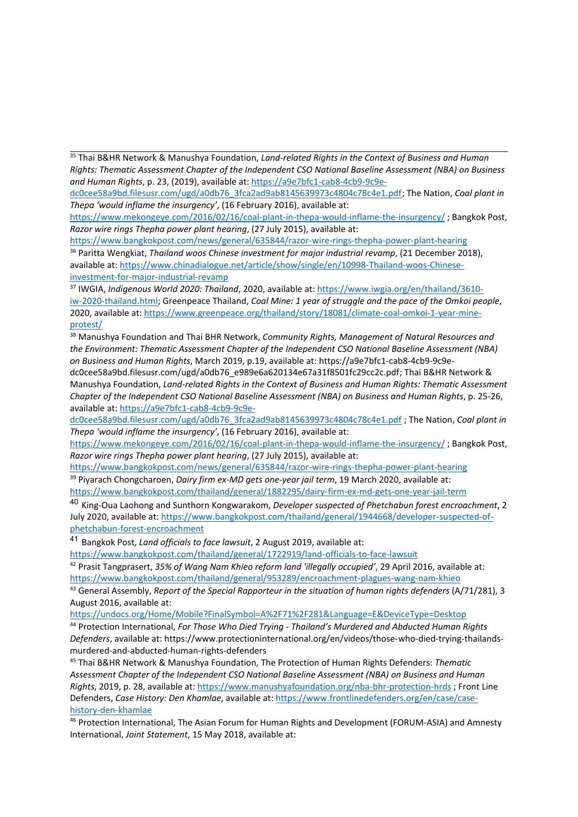35 Thai B&HR Network & Manushya Foundation, *Land-related Rights in the Context of Business and Human Rights: Thematic Assessment Chapter of the Independent CSO National Baseline Assessment (NBA) on Business and Human Rights*, p. 23, (2019), available at: [https://a9e7bfc1-cab8-4cb9-9c9e-](https://a9e7bfc1-cab8-4cb9-9c9e-dc0cee58a9bd.filesusr.com/ugd/a0db76_3fca2ad9ab8145639973c4804c78c4e1.pdf)

[dc0cee58a9bd.filesusr.com/ugd/a0db76\\_3fca2ad9ab8145639973c4804c78c4e1.pdf](https://a9e7bfc1-cab8-4cb9-9c9e-dc0cee58a9bd.filesusr.com/ugd/a0db76_3fca2ad9ab8145639973c4804c78c4e1.pdf); The Nation, *Coal plant in Thepa 'would inflame the insurgency'*, (16 February 2016), available at:

<https://www.mekongeye.com/2016/02/16/coal-plant-in-thepa-would-inflame-the-insurgency/> ; Bangkok Post, *Razor wire rings Thepha power plant hearing*, (27 July 2015), available at:

<https://www.bangkokpost.com/news/general/635844/razor-wire-rings-thepha-power-plant-hearing> 36 Paritta Wengkiat, *Thailand woos Chinese investment for major industrial revamp*, (21 December 2018), available at: [https://www.chinadialogue.net/article/show/single/en/10998-Thailand-woos-Chinese](https://www.chinadialogue.net/article/show/single/en/10998-Thailand-woos-Chinese-investment-for-major-industrial-revamp)[investment-for-major-industrial-revamp](https://www.chinadialogue.net/article/show/single/en/10998-Thailand-woos-Chinese-investment-for-major-industrial-revamp)

37 IWGIA, *Indigenous World 2020: Thailand*, 2020, available at: [https://www.iwgia.org/en/thailand/3610](https://www.iwgia.org/en/thailand/3610-iw-2020-thailand.html) [iw-2020-thailand.html;](https://www.iwgia.org/en/thailand/3610-iw-2020-thailand.html) Greenpeace Thailand, *Coal Mine: 1 year of struggle and the pace of the Omkoi people*, 2020, available at: [https://www.greenpeace.org/thailand/story/18081/climate-coal-omkoi-1-year-mine](https://www.greenpeace.org/thailand/story/18081/climate-coal-omkoi-1-year-mine-protest/)[protest/](https://www.greenpeace.org/thailand/story/18081/climate-coal-omkoi-1-year-mine-protest/)

<sup>38</sup> Manushya Foundation and Thai BHR Network, *Community Rights, Management of Natural Resources and the Environment: Thematic Assessment Chapter of the Independent CSO National Baseline Assessment (NBA) on Business and Human Rights*, March 2019, p.19, available at: https://a9e7bfc1-cab8-4cb9-9c9e-

dc0cee58a9bd.filesusr.com/ugd/a0db76\_e989e6a620134e67a31f8501fc29cc2c.pdf; Thai B&HR Network & Manushya Foundation, *Land-related Rights in the Context of Business and Human Rights: Thematic Assessment Chapter of the Independent CSO National Baseline Assessment (NBA) on Business and Human Rights*, p. 25-26, available at: [https://a9e7bfc1-cab8-4cb9-9c9e-](https://a9e7bfc1-cab8-4cb9-9c9e-dc0cee58a9bd.filesusr.com/ugd/a0db76_3fca2ad9ab8145639973c4804c78c4e1.pdf)

[dc0cee58a9bd.filesusr.com/ugd/a0db76\\_3fca2ad9ab8145639973c4804c78c4e1.pdf](https://a9e7bfc1-cab8-4cb9-9c9e-dc0cee58a9bd.filesusr.com/ugd/a0db76_3fca2ad9ab8145639973c4804c78c4e1.pdf) ; The Nation, *Coal plant in Thepa 'would inflame the insurgency'*, (16 February 2016), available at:

<https://www.mekongeye.com/2016/02/16/coal-plant-in-thepa-would-inflame-the-insurgency/> ; Bangkok Post, *Razor wire rings Thepha power plant hearing*, (27 July 2015), available at:

<https://www.bangkokpost.com/news/general/635844/razor-wire-rings-thepha-power-plant-hearing> 39 Piyarach Chongcharoen, *Dairy firm ex-MD gets one-year jail term*, 19 March 2020, available at:

<https://www.bangkokpost.com/thailand/general/1882295/dairy-firm-ex-md-gets-one-year-jail-term>

40 King-Oua Laohong and Sunthorn Kongwarakom, *Developer suspected of Phetchabun forest encroachment*, 2 July 2020, available at: [https://www.bangkokpost.com/thailand/general/1944668/developer-suspected-of](https://www.bangkokpost.com/thailand/general/1944668/developer-suspected-of-phetchabun-forest-encroachment)[phetchabun-forest-encroachment](https://www.bangkokpost.com/thailand/general/1944668/developer-suspected-of-phetchabun-forest-encroachment)

41 Bangkok Post, *Land officials to face lawsuit*, 2 August 2019, available at:

<https://www.bangkokpost.com/thailand/general/1722919/land-officials-to-face-lawsuit>

42 Prasit Tangprasert, *35% of Wang Nam Khieo reform land 'illegally occupied'*, 29 April 2016, available at: <https://www.bangkokpost.com/thailand/general/953289/encroachment-plagues-wang-nam-khieo>

43 General Assembly, *Report of the Special Rapporteur in the situation of human rights defenders* (A/71/281), 3 August 2016, available at:

[https://undocs.org/Home/Mobile?FinalSymbol=A%2F71%2F281&Language=E&DeviceType=Desktop](https://undocs.org/Home/Mobile?FinalSymbol=A%25252F71%25252F281&Language=E&DeviceType=Desktop)

44 Protection International, *For Those Who Died Trying - Thailand'<sup>s</sup> Murdered and Abducted Human Rights Defenders*, available at: https://www.protectioninternational.org/en/videos/those-who-died-trying-thailandsmurdered-and-abducted-human-rights-defenders

45 Thai B&HR Network & Manushya Foundation, The Protection of Human Rights Defenders: *Thematic Assessment Chapter of the Independent CSO National Baseline Assessment (NBA) on Business and Human Rights*, 2019, p. 28, available at: <https://www.manushyafoundation.org/nba-bhr-protection-hrds> ; Front Line Defenders, *Case History: Den Khamlae*, available at: [https://www.frontlinedefenders.org/en/case/case](https://www.frontlinedefenders.org/en/case/case-history-den-khamlae)[history-den-khamlae](https://www.frontlinedefenders.org/en/case/case-history-den-khamlae)

<sup>46</sup> Protection International, The Asian Forum for Human Rights and Development (FORUM-ASIA) and Amnesty International, *Joint Statement*, 15 May 2018, available at: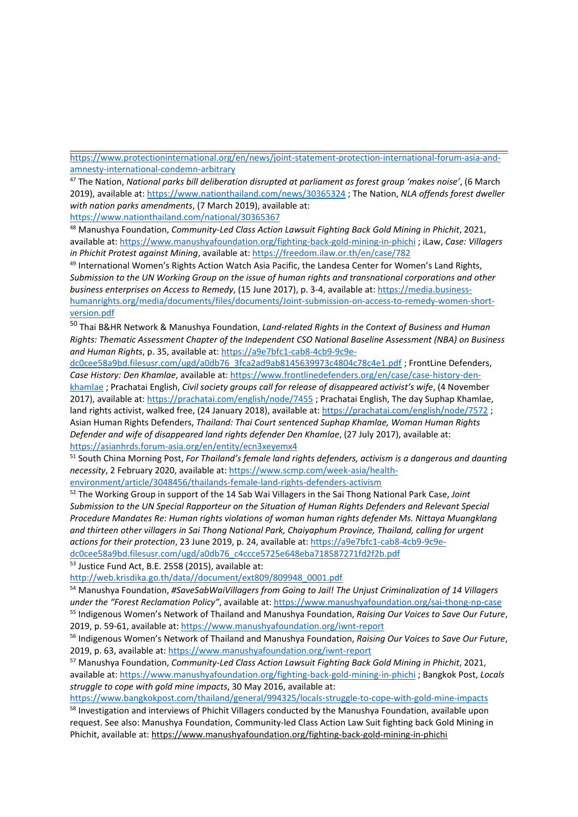[https://www.protectioninternational.org/en/news/joint-statement-protection-international-forum-asia-and](https://www.protectioninternational.org/en/news/joint-statement-protection-international-forum-asia-and-amnesty-international-condemn-arbitrary)[amnesty-international-condemn-arbitrary](https://www.protectioninternational.org/en/news/joint-statement-protection-international-forum-asia-and-amnesty-international-condemn-arbitrary)

47 The Nation, *National parks bill deliberation disrupted at parliament as forest group 'makes noise'*, (6 March 2019), available at: <https://www.nationthailand.com/news/30365324> ; The Nation, *NLA offends forest dweller with nation parks amendments*, (7 March 2019), available at: <https://www.nationthailand.com/national/30365367>

<sup>48</sup> Manushya Foundation, *Community-Led Class Action Lawsuit Fighting Back Gold Mining in Phichit*, 2021, available at: <https://www.manushyafoundation.org/fighting-back-gold-mining-in-phichi> ; iLaw, *Case: Villagers in Phichit Protest against Mining*, available at: <https://freedom.ilaw.or.th/en/case/782>

<sup>49</sup> International Women's Rights Action Watch Asia Pacific, the Landesa Center for Women's Land Rights, *Submission to the UN Working Group on the issue of human rights and transnational corporations and other business enterprises on Access to Remedy*, (15 June 2017), p. 3-4, available at: [https://media.business](https://media.business-humanrights.org/media/documents/files/documents/Joint-submission-on-access-to-remedy-women-short-version.pdf)[humanrights.org/media/documents/files/documents/Joint-submission-on-access-to-remedy-women-short](https://media.business-humanrights.org/media/documents/files/documents/Joint-submission-on-access-to-remedy-women-short-version.pdf)[version.pdf](https://media.business-humanrights.org/media/documents/files/documents/Joint-submission-on-access-to-remedy-women-short-version.pdf)

50 Thai B&HR Network & Manushya Foundation, *Land-related Rights in the Context of Business and Human Rights: Thematic Assessment Chapter of the Independent CSO National Baseline Assessment (NBA) on Business and Human Rights*, p. 35, available at: [https://a9e7bfc1-cab8-4cb9-9c9e-](https://a9e7bfc1-cab8-4cb9-9c9e-dc0cee58a9bd.filesusr.com/ugd/a0db76_3fca2ad9ab8145639973c4804c78c4e1.pdf)

[dc0cee58a9bd.filesusr.com/ugd/a0db76\\_3fca2ad9ab8145639973c4804c78c4e1.pdf](https://a9e7bfc1-cab8-4cb9-9c9e-dc0cee58a9bd.filesusr.com/ugd/a0db76_3fca2ad9ab8145639973c4804c78c4e1.pdf) ; FrontLine Defenders, *Case History: Den Khamlae*, available at: [https://www.frontlinedefenders.org/en/case/case-history-den](https://www.frontlinedefenders.org/en/case/case-history-den-khamlae)[khamlae](https://www.frontlinedefenders.org/en/case/case-history-den-khamlae) ; Prachatai English, *Civil society groups call for release of disappeared activist'<sup>s</sup> wife*, (4 November 2017), available at: <https://prachatai.com/english/node/7455> ; Prachatai English, The day Suphap Khamlae, land rights activist, walked free, (24 January 2018), available at: <https://prachatai.com/english/node/7572> ; Asian Human Rights Defenders, *Thailand: Thai Court sentenced Suphap Khamlae, Woman Human Rights Defender and wife of disappeared land rights defender Den Khamlae*, (27 July 2017), available at: <https://asianhrds.forum-asia.org/en/entity/ecn3xeyemx4>

51 South China Morning Post, *For Thailand'<sup>s</sup> female land rights defenders, activism is <sup>a</sup> dangerous and daunting necessity*, 2 February 2020, available at: [https://www.scmp.com/week-asia/health](https://www.scmp.com/week-asia/health-environment/article/3048456/thailands-female-land-rights-defenders-activism)[environment/article/3048456/thailands-female-land-rights-defenders-activism](https://www.scmp.com/week-asia/health-environment/article/3048456/thailands-female-land-rights-defenders-activism)

52 The Working Group in support of the 14 Sab Wai Villagers in the Sai Thong National Park Case, *Joint Submission to the UN Special Rapporteur on the Situation of Human Rights Defenders and Relevant Special Procedure Mandates Re: Human rights violations of woman human rights defender Ms. Nittaya Muangklang and thirteen other villagers in Sai Thong National Park, Chaiyaphum Province, Thailand, calling for urgent actions for their protection*, 23 June 2019, p. 24, available at: [https://a9e7bfc1-cab8-4cb9-9c9e-](https://a9e7bfc1-cab8-4cb9-9c9e-dc0cee58a9bd.filesusr.com/ugd/a0db76_c4ccce5725e648eba718587271fd2f2b.pdf)

[dc0cee58a9bd.filesusr.com/ugd/a0db76\\_c4ccce5725e648eba718587271fd2f2b.pdf](https://a9e7bfc1-cab8-4cb9-9c9e-dc0cee58a9bd.filesusr.com/ugd/a0db76_c4ccce5725e648eba718587271fd2f2b.pdf)

<sup>53</sup> Justice Fund Act, B.E. 2558 (2015), available at:

[http://web.krisdika.go.th/data//document/ext809/809948\\_0001.pdf](http://web.krisdika.go.th/data//document/ext809/809948_0001.pdf)

<sup>54</sup> Manushya Foundation, *#SaveSabWaiVillagers from Going to Jail! The Unjust Criminalization of <sup>14</sup> Villagers under the "Forest Reclamation Policy"*, available at: <https://www.manushyafoundation.org/sai-thong-np-case> 55 Indigenous Women'<sup>s</sup> Network of Thailand and Manushya Foundation, *Raising Our Voices to Save Our Future*, 2019, p. 59-61, available at: <https://www.manushyafoundation.org/iwnt-report>

56 Indigenous Women'<sup>s</sup> Network of Thailand and Manushya Foundation, *Raising Our Voices to Save Our Future*, 2019, p. 63, available at: <https://www.manushyafoundation.org/iwnt-report>

<sup>57</sup> Manushya Foundation, *Community-Led Class Action Lawsuit Fighting Back Gold Mining in Phichit*, 2021, available at: <https://www.manushyafoundation.org/fighting-back-gold-mining-in-phichi> ; Bangkok Post, *Locals struggle to cope with gold mine impacts*, 30 May 2016, available at:

<https://www.bangkokpost.com/thailand/general/994325/locals-struggle-to-cope-with-gold-mine-impacts>

<sup>58</sup> Investigation and interviews of Phichit Villagers conducted by the Manushya Foundation, available upon request. See also: Manushya Foundation, Community-led Class Action Law Suit fighting back Gold Mining in Phichit, available at: <https://www.manushyafoundation.org/fighting-back-gold-mining-in-phichi>